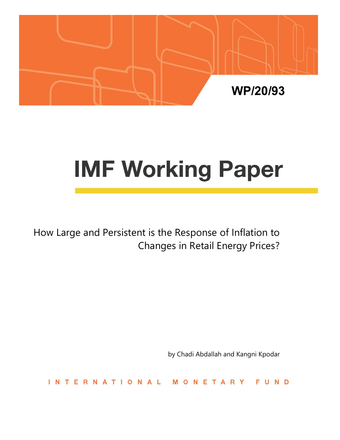

# **IMF Working Paper**

How Large and Persistent is the Response of Inflation to Changes in Retail Energy Prices?

by Chadi Abdallah and Kangni Kpodar

ERNATIONAL NETARY **FUND**  $\mathbf{I}$  N T M  $\Omega$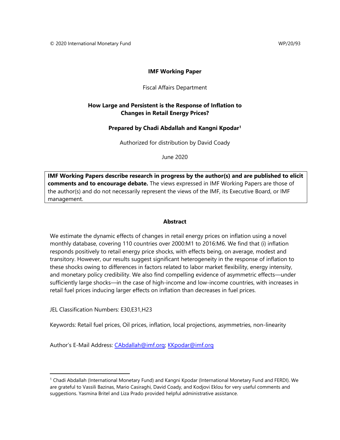## **IMF Working Paper**

## Fiscal Affairs Department

## **How Large and Persistent is the Response of Inflation to Changes in Retail Energy Prices?**

## **Prepared by Chadi Abdallah and Kangni Kpodar1**

Authorized for distribution by David Coady

June 2020

**IMF Working Papers describe research in progress by the author(s) and are published to elicit comments and to encourage debate.** The views expressed in IMF Working Papers are those of the author(s) and do not necessarily represent the views of the IMF, its Executive Board, or IMF management.

## **Abstract**

We estimate the dynamic effects of changes in retail energy prices on inflation using a novel monthly database, covering 110 countries over 2000:M1 to 2016:M6. We find that (i) inflation responds positively to retail energy price shocks, with effects being, on average, modest and transitory. However, our results suggest significant heterogeneity in the response of inflation to these shocks owing to differences in factors related to labor market flexibility, energy intensity, and monetary policy credibility. We also find compelling evidence of asymmetric effects—under sufficiently large shocks—in the case of high-income and low-income countries, with increases in retail fuel prices inducing larger effects on inflation than decreases in fuel prices.

JEL Classification Numbers: E30,E31,H23

Keywords: Retail fuel prices, Oil prices, inflation, local projections, asymmetries, non-linearity

Author's E-Mail Address: CAbdallah@imf.org; KKpodar@imf.org

<sup>1</sup> Chadi Abdallah (International Monetary Fund) and Kangni Kpodar (International Monetary Fund and FERDI). We are grateful to Vassili Bazinas, Mario Casiraghi, David Coady, and Kodjovi Eklou for very useful comments and suggestions. Yasmina Britel and Liza Prado provided helpful administrative assistance.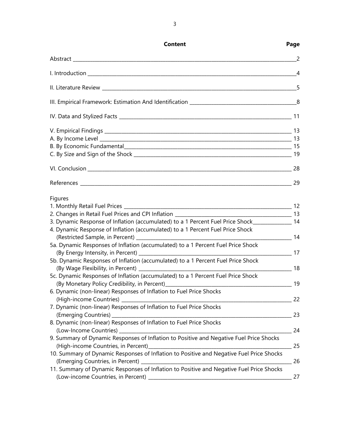| Content                                                                                         | Page |
|-------------------------------------------------------------------------------------------------|------|
|                                                                                                 |      |
|                                                                                                 |      |
|                                                                                                 |      |
|                                                                                                 |      |
|                                                                                                 |      |
|                                                                                                 |      |
|                                                                                                 |      |
|                                                                                                 |      |
|                                                                                                 |      |
|                                                                                                 |      |
|                                                                                                 |      |
| Figures                                                                                         |      |
|                                                                                                 |      |
|                                                                                                 |      |
| 3. Dynamic Response of Inflation (accumulated) to a 1 Percent Fuel Price Shock______________ 14 |      |
| 4. Dynamic Response of Inflation (accumulated) to a 1 Percent Fuel Price Shock                  |      |
| 5a. Dynamic Responses of Inflation (accumulated) to a 1 Percent Fuel Price Shock                |      |
|                                                                                                 |      |
| 5b. Dynamic Responses of Inflation (accumulated) to a 1 Percent Fuel Price Shock                |      |
| (By Wage Flexibility, in Percent) 2008 2014 18 (By Wage Flexibility, in Percent)                |      |
| 5c. Dynamic Responses of Inflation (accumulated) to a 1 Percent Fuel Price Shock                |      |
|                                                                                                 |      |
| 6. Dynamic (non-linear) Responses of Inflation to Fuel Price Shocks                             |      |
| (High-income Countries)                                                                         |      |
| 7. Dynamic (non-linear) Responses of Inflation to Fuel Price Shocks                             |      |
|                                                                                                 |      |
| 8. Dynamic (non-linear) Responses of Inflation to Fuel Price Shocks                             |      |
|                                                                                                 |      |
| 9. Summary of Dynamic Responses of Inflation to Positive and Negative Fuel Price Shocks         |      |
|                                                                                                 |      |
| 10. Summary of Dynamic Responses of Inflation to Positive and Negative Fuel Price Shocks        |      |
|                                                                                                 |      |
| 11. Summary of Dynamic Responses of Inflation to Positive and Negative Fuel Price Shocks        |      |
|                                                                                                 |      |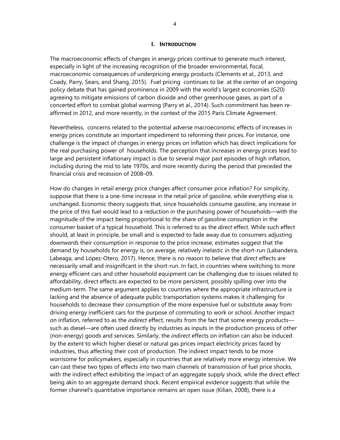#### **I. INTRODUCTION**

The macroeconomic effects of changes in energy prices continue to generate much interest, especially in light of the increasing recognition of the broader environmental, fiscal, macroeconomic consequences of underpricing energy products (Clements et al., 2013, and Coady, Parry, Sears, and Shang, 2015). Fuel pricing continues to be at the center of an ongoing policy debate that has gained prominence in 2009 with the world's largest economies (G20) agreeing to mitigate emissions of carbon dioxide and other greenhouse gases, as part of a concerted effort to combat global warming (Parry et al., 2014). Such commitment has been reaffirmed in 2012, and more recently, in the context of the 2015 Paris Climate Agreement.

Nevertheless, concerns related to the potential adverse macroeconomic effects of increases in energy prices constitute an important impediment to reforming their prices. For instance, one challenge is the impact of changes in energy prices on inflation which has direct implications for the real purchasing power of households. The perception that increases in energy prices lead to large and persistent inflationary impact is due to several major past episodes of high inflation, including during the mid to late 1970s, and more recently during the period that preceded the financial crisis and recession of 2008–09.

How do changes in retail energy price changes affect consumer price inflation? For simplicity, suppose that there is a one-time increase in the retail price of gasoline, while everything else is unchanged. Economic theory suggests that, since households consume gasoline, any increase in the price of this fuel would lead to a reduction in the purchasing power of households—with the magnitude of the impact being proportional to the share of gasoline consumption in the consumer basket of a typical household. This is referred to as the *direct* effect. While such effect should, at least in principle, be small and is expected to fade away due to consumers adjusting *downwards* their consumption in response to the price increase, estimates suggest that the demand by households for energy is, on average, relatively inelastic in the short-run (Labandeira, Labeaga, and López-Otero, 2017). Hence, there is no reason to believe that *direct* effects are necessarily small and insignificant in the short-run. In fact, in countries where switching to more energy efficient cars and other household equipment can be challenging due to issues related to affordability, direct effects are expected to be more persistent, possibly spilling over into the medium-term. The same argument applies to countries where the appropriate infrastructure is lacking and the absence of adequate public transportation systems makes it challenging for households to decrease their consumption of the more expensive fuel or substitute away from driving energy inefficient cars for the purpose of commuting to work or school. Another impact on inflation, referred to as the *indirect* effect, results from the fact that some energy products such as diesel—are often used directly by industries as inputs in the production process of other (non-energy) goods and services. Similarly, the *indirect* effects on inflation can also be induced by the extent to which higher diesel or natural gas prices impact electricity prices faced by industries, thus affecting their cost of production. The indirect impact tends to be more worrisome for policymakers, especially in countries that are relatively more energy intensive. We can cast these two types of effects into two main channels of transmission of fuel price shocks, with the indirect effect exhibiting the impact of an aggregate supply shock, while the direct effect being akin to an aggregate demand shock. Recent empirical evidence suggests that while the former channel's quantitative importance remains an open issue (Kilian, 2008), there is a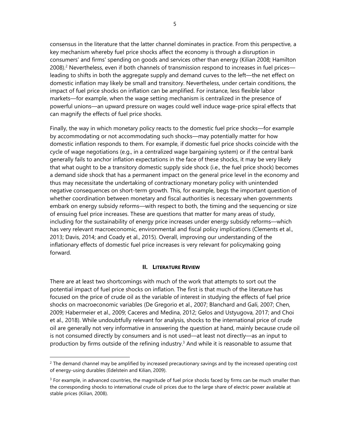consensus in the literature that the latter channel dominates in practice. From this perspective, a key mechanism whereby fuel price shocks affect the economy is through a disruption in consumers' and firms' spending on goods and services other than energy (Kilian 2008; Hamilton 2008).2 Nevertheless, even if both channels of transmission respond to increases in fuel prices leading to shifts in both the aggregate supply and demand curves to the left—the net effect on domestic inflation may likely be small and transitory. Nevertheless, under certain conditions, the impact of fuel price shocks on inflation can be amplified. For instance, less flexible labor markets—for example, when the wage setting mechanism is centralized in the presence of powerful unions—an upward pressure on wages could well induce wage-price spiral effects that can magnify the effects of fuel price shocks.

Finally, the way in which monetary policy reacts to the domestic fuel price shocks—for example by accommodating or not accommodating such shocks—may potentially matter for how domestic inflation responds to them. For example, if domestic fuel price shocks coincide with the cycle of wage negotiations (e.g., in a centralized wage bargaining system) or if the central bank generally fails to anchor inflation expectations in the face of these shocks, it may be very likely that what ought to be a transitory domestic supply side shock (i.e., the fuel price shock) becomes a demand side shock that has a permanent impact on the general price level in the economy and thus may necessitate the undertaking of contractionary monetary policy with unintended negative consequences on short-term growth. This, for example, begs the important question of whether coordination between monetary and fiscal authorities is necessary when governments embark on energy subsidy reforms—with respect to both, the timing and the sequencing or size of ensuing fuel price increases. These are questions that matter for many areas of study, including for the sustainability of energy price increases under energy subsidy reforms—which has very relevant macroeconomic, environmental and fiscal policy implications (Clements et al., 2013; Davis, 2014; and Coady et al., 2015). Overall, improving our understanding of the inflationary effects of domestic fuel price increases is very relevant for policymaking going forward.

#### **II. LITERATURE REVIEW**

There are at least two shortcomings with much of the work that attempts to sort out the potential impact of fuel price shocks on inflation. The first is that much of the literature has focused on the price of crude oil as the variable of interest in studying the effects of fuel price shocks on macroeconomic variables (De Gregorio et al., 2007; Blanchard and Galí, 2007; Chen, 2009; Habermeier et al., 2009; Caceres and Medina, 2012; Gelos and Ustyugova, 2017; and Choi et al., 2018). While undoubtfully relevant for analysis, shocks to the international price of crude oil are generally not very informative in answering the question at hand, mainly because crude oil is not consumed directly by consumers and is not used—at least not directly—as an input to production by firms outside of the refining industry.<sup>3</sup> And while it is reasonable to assume that

 $2$  The demand channel may be amplified by increased precautionary savings and by the increased operating cost of energy-using durables (Edelstein and Kilian, 2009).

 $3$  For example, in advanced countries, the magnitude of fuel price shocks faced by firms can be much smaller than the corresponding shocks to international crude oil prices due to the large share of electric power available at stable prices (Kilian, 2008).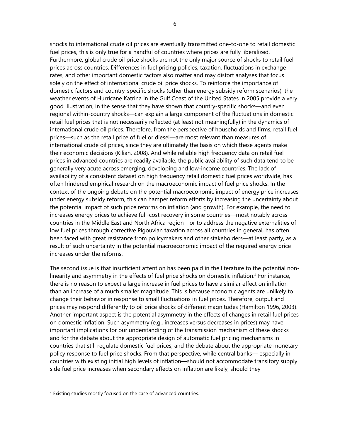shocks to international crude oil prices are eventually transmitted one-to-one to retail domestic fuel prices, this is only true for a handful of countries where prices are fully liberalized. Furthermore, global crude oil price shocks are not the only major source of shocks to retail fuel prices across countries. Differences in fuel pricing policies, taxation, fluctuations in exchange rates, and other important domestic factors also matter and may distort analyses that focus solely on the effect of international crude oil price shocks. To reinforce the importance of domestic factors and country-specific shocks (other than energy subsidy reform scenarios), the weather events of Hurricane Katrina in the Gulf Coast of the United States in 2005 provide a very good illustration, in the sense that they have shown that country-specific shocks—and even regional within-country shocks—can explain a large component of the fluctuations in domestic retail fuel prices that is not necessarily reflected (at least not meaningfully) in the dynamics of international crude oil prices. Therefore, from the perspective of households and firms, retail fuel prices—such as the retail price of fuel or diesel—are most relevant than measures of international crude oil prices, since they are ultimately the basis on which these agents make their economic decisions (Kilian, 2008). And while reliable high frequency data on retail fuel prices in advanced countries are readily available, the public availability of such data tend to be generally very acute across emerging, developing and low-income countries. The lack of availability of a consistent dataset on high frequency retail domestic fuel prices worldwide, has often hindered empirical research on the macroeconomic impact of fuel price shocks. In the context of the ongoing debate on the potential macroeconomic impact of energy price increases under energy subsidy reform, this can hamper reform efforts by increasing the uncertainty about the potential impact of such price reforms on inflation (and growth). For example, the need to increases energy prices to achieve full-cost recovery in some countries—most notably across countries in the Middle East and North Africa region—or to address the negative externalities of low fuel prices through corrective Pigouvian taxation across all countries in general, has often been faced with great resistance from policymakers and other stakeholders—at least partly, as a result of such uncertainty in the potential macroeconomic impact of the required energy price increases under the reforms.

The second issue is that insufficient attention has been paid in the literature to the potential nonlinearity and asymmetry in the effects of fuel price shocks on domestic inflation.4 For instance, there is no reason to expect a large increase in fuel prices to have a similar effect on inflation than an increase of a much smaller magnitude. This is because economic agents are unlikely to change their behavior in response to small fluctuations in fuel prices. Therefore, output and prices may respond differently to oil price shocks of different magnitudes (Hamilton 1996, 2003). Another important aspect is the potential asymmetry in the effects of changes in retail fuel prices on domestic inflation. Such asymmetry (e.g., increases versus decreases in prices) may have important implications for our understanding of the transmission mechanism of these shocks and for the debate about the appropriate design of automatic fuel pricing mechanisms in countries that still regulate domestic fuel prices, and the debate about the appropriate monetary policy response to fuel price shocks. From that perspective, while central banks— especially in countries with existing initial high levels of inflation—should not accommodate transitory supply side fuel price increases when secondary effects on inflation are likely, should they

<sup>4</sup> Existing studies mostly focused on the case of advanced countries.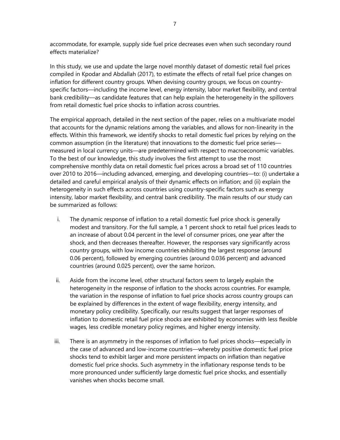accommodate, for example, supply side fuel price decreases even when such secondary round effects materialize?

In this study, we use and update the large novel monthly dataset of domestic retail fuel prices compiled in Kpodar and Abdallah (2017), to estimate the effects of retail fuel price changes on inflation for different country groups. When devising country groups, we focus on countryspecific factors—including the income level, energy intensity, labor market flexibility, and central bank credibility—as candidate features that can help explain the heterogeneity in the spillovers from retail domestic fuel price shocks to inflation across countries.

The empirical approach, detailed in the next section of the paper, relies on a multivariate model that accounts for the dynamic relations among the variables, and allows for non-linearity in the effects. Within this framework, we identify shocks to retail domestic fuel prices by relying on the common assumption (in the literature) that innovations to the domestic fuel price series measured in local currency units—are predetermined with respect to macroeconomic variables. To the best of our knowledge, this study involves the first attempt to use the most comprehensive monthly data on retail domestic fuel prices across a broad set of 110 countries over 2010 to 2016—including advanced, emerging, and developing countries—to: (i) undertake a detailed and careful empirical analysis of their dynamic effects on inflation; and (ii) explain the heterogeneity in such effects across countries using country-specific factors such as energy intensity, labor market flexibility, and central bank credibility. The main results of our study can be summarized as follows:

- i. The dynamic response of inflation to a retail domestic fuel price shock is generally modest and transitory. For the full sample, a 1 percent shock to retail fuel prices leads to an increase of about 0.04 percent in the level of consumer prices, one year after the shock, and then decreases thereafter. However, the responses vary significantly across country groups, with low income countries exhibiting the largest response (around 0.06 percent), followed by emerging countries (around 0.036 percent) and advanced countries (around 0.025 percent), over the same horizon.
- ii. Aside from the income level, other structural factors seem to largely explain the heterogeneity in the response of inflation to the shocks across countries. For example, the variation in the response of inflation to fuel price shocks across country groups can be explained by differences in the extent of wage flexibility, energy intensity, and monetary policy credibility. Specifically, our results suggest that larger responses of inflation to domestic retail fuel price shocks are exhibited by economies with less flexible wages, less credible monetary policy regimes, and higher energy intensity.
- iii. There is an asymmetry in the responses of inflation to fuel prices shocks—especially in the case of advanced and low-income countries—whereby positive domestic fuel price shocks tend to exhibit larger and more persistent impacts on inflation than negative domestic fuel price shocks. Such asymmetry in the inflationary response tends to be more pronounced under sufficiently large domestic fuel price shocks, and essentially vanishes when shocks become small.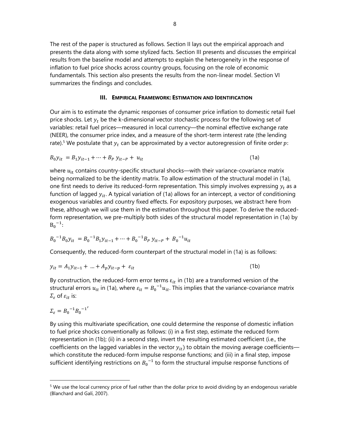The rest of the paper is structured as follows. Section II lays out the empirical approach and presents the data along with some stylized facts. Section III presents and discusses the empirical results from the baseline model and attempts to explain the heterogeneity in the response of inflation to fuel price shocks across country groups, focusing on the role of economic fundamentals. This section also presents the results from the non-linear model. Section VI summarizes the findings and concludes.

#### **III. EMPIRICAL FRAMEWORK: ESTIMATION AND IDENTIFICATION**

Our aim is to estimate the dynamic responses of consumer price inflation to domestic retail fuel price shocks. Let  $y_t$  be the k-dimensional vector stochastic process for the following set of variables: retail fuel prices—measured in local currency—the nominal effective exchange rate (NEER), the consumer price index, and a measure of the short-term interest rate (the lending rate).<sup>5</sup> We postulate that  $y_t$  can be approximated by a vector autoregression of finite order  $p$ .

$$
B_0 y_{it} = B_1 y_{it-1} + \dots + B_p y_{it-p} + u_{it}
$$
 (1a)

where  $u_{it}$  contains country-specific structural shocks—with their variance-covariance matrix being normalized to be the identity matrix. To allow estimation of the structural model in (1a), one first needs to derive its reduced-form representation. This simply involves expressing  $y_t$  as a function of lagged  $y_{it}$ . A typical variation of (1a) allows for an intercept, a vector of conditioning exogenous variables and country fixed effects. For expository purposes, we abstract here from these, although we will use them in the estimation throughout this paper. To derive the reducedform representation, we pre-multiply both sides of the structural model representation in (1a) by  $B_0^{-1}$ :

$$
B_0^{-1}B_0y_{it} = B_0^{-1}B_1y_{it-1} + \dots + B_0^{-1}B_p y_{it-p} + B_0^{-1}u_{it}
$$

Consequently, the reduced-form counterpart of the structural model in (1a) is as follows:

$$
y_{it} = A_1 y_{it-1} + ... + A_p y_{it-p} + \varepsilon_{it}
$$
 (1b)

By construction, the reduced-form error terms  $\varepsilon_{it}$  in (1b) are a transformed version of the structural errors  $u_{it}$  in (1a), where  $\varepsilon_{it} = {B_0}^{-1} u_{it}$ . This implies that the variance-covariance matrix  $\Sigma_{\varepsilon}$  of  $\varepsilon_{it}$  is:

$$
\Sigma_{\varepsilon} = B_0^{-1} B_0^{-1'}
$$

By using this multivariate specification, one could determine the response of domestic inflation to fuel price shocks conventionally as follows: (i) in a first step, estimate the reduced form representation in (1b); (ii) in a second step, invert the resulting estimated coefficient (i.e., the coefficients on the lagged variables in the vector  $y_{it}$  to obtain the moving average coefficients which constitute the reduced-form impulse response functions; and (iii) in a final step, impose sufficient identifying restrictions on  ${B_0}^{-1}$  to form the structural impulse response functions of

<sup>&</sup>lt;sup>5</sup> We use the local currency price of fuel rather than the dollar price to avoid dividing by an endogenous variable (Blanchard and Galí, 2007).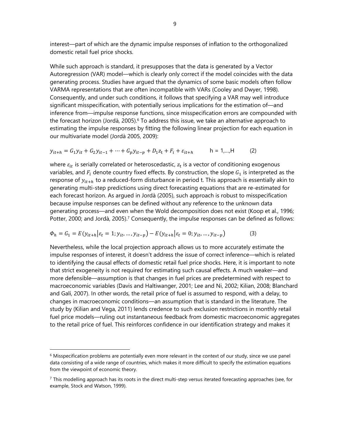interest—part of which are the dynamic impulse responses of inflation to the orthogonalized domestic retail fuel price shocks.

While such approach is standard, it presupposes that the data is generated by a Vector Autoregression (VAR) model—which is clearly only correct if the model coincides with the data generating process. Studies have argued that the dynamics of some basic models often follow VARMA representations that are often incompatible with VARs (Cooley and Dwyer, 1998). Consequently, and under such conditions, it follows that specifying a VAR may well introduce significant misspecification, with potentially serious implications for the estimation of—and inference from—impulse response functions, since misspecification errors are compounded with the forecast horizon (Jordà, 2005).<sup>6</sup> To address this issue, we take an alternative approach to estimating the impulse responses by fitting the following linear projection for each equation in our multivariate model (Jordà 2005, 2009):

$$
y_{it+h} = G_1 y_{it} + G_2 y_{it-1} + \dots + G_p y_{it-p} + D_1 z_t + F_i + \varepsilon_{it+h} \qquad h = 1, ..., H \qquad (2)
$$

where  $\varepsilon_{it}$  is serially correlated or heteroscedastic,  $z_t$  is a vector of conditioning exogenous variables, and  $F_i$  denote country fixed effects. By construction, the slope  $G_1$  is interpreted as the response of  $y_{it+h}$  to a reduced-form disturbance in period t. This approach is essentially akin to generating multi-step predictions using direct forecasting equations that are re-estimated for each forecast horizon. As argued in Jordà (2005), such approach is robust to misspecification because impulse responses can be defined without any reference to the unknown data generating process—and even when the Wold decomposition does not exist (Koop et al., 1996; Potter, 2000; and Jordà, 2005).<sup>7</sup> Consequently, the impulse responses can be defined as follows:

$$
\Phi_h = G_1 = E(y_{it+h}|\varepsilon_t = 1; y_{it}, \dots, y_{it-p}) - E(y_{it+h}|\varepsilon_t = 0; y_{it}, \dots, y_{it-p})
$$
(3)

Nevertheless, while the local projection approach allows us to more accurately estimate the impulse responses of interest, it doesn't address the issue of correct inference—which is related to identifying the causal effects of domestic retail fuel price shocks. Here, it is important to note that strict exogeneity is not required for estimating such causal effects. A much weaker—and more defensible—assumption is that changes in fuel prices are predetermined with respect to macroeconomic variables (Davis and Haltiwanger, 2001; Lee and Ni, 2002; Kilian, 2008; Blanchard and Galí, 2007). In other words, the retail price of fuel is assumed to respond, with a delay, to changes in macroeconomic conditions—an assumption that is standard in the literature. The study by (Kilian and Vega, 2011) lends credence to such exclusion restrictions in monthly retail fuel price models—ruling out instantaneous feedback from domestic macroeconomic aggregates to the retail price of fuel. This reinforces confidence in our identification strategy and makes it

 $6$  Misspecification problems are potentially even more relevant in the context of our study, since we use panel data consisting of a wide range of countries, which makes it more difficult to specify the estimation equations from the viewpoint of economic theory.

 $<sup>7</sup>$  This modelling approach has its roots in the direct multi-step versus iterated forecasting approaches (see, for</sup> example, Stock and Watson, 1999).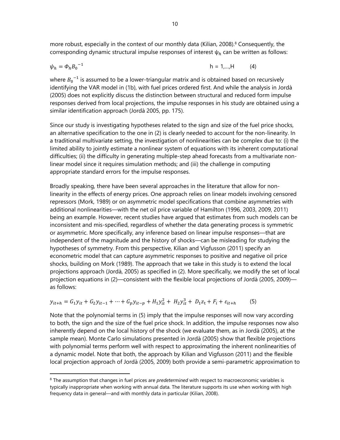more robust, especially in the context of our monthly data (Kilian, 2008).<sup>8</sup> Consequently, the corresponding dynamic structural impulse responses of interest  $\psi_h$  can be written as follows:

$$
\psi_h = \Phi_h B_0^{-1} \tag{4}
$$

where  ${B_0}^{-1}$  is assumed to be a lower-triangular matrix and is obtained based on recursively identifying the VAR model in (1b), with fuel prices ordered first. And while the analysis in Jordà (2005) does not explicitly discuss the distinction between structural and reduced form impulse responses derived from local projections, the impulse responses in his study are obtained using a similar identification approach (Jordà 2005, pp. 175).

Since our study is investigating hypotheses related to the sign and size of the fuel price shocks, an alternative specification to the one in (2) is clearly needed to account for the non-linearity. In a traditional multivariate setting, the investigation of nonlinearities can be complex due to: (i) the limited ability to jointly estimate a nonlinear system of equations with its inherent computational difficulties; (ii) the difficulty in generating multiple-step ahead forecasts from a multivariate nonlinear model since it requires simulation methods; and (iii) the challenge in computing appropriate standard errors for the impulse responses.

Broadly speaking, there have been several approaches in the literature that allow for nonlinearity in the effects of energy prices. One approach relies on linear models involving censored repressors (Mork, 1989) or on asymmetric model specifications that combine asymmetries with additional nonlinearities—with the net oil price variable of Hamilton (1996, 2003, 2009, 2011) being an example. However, recent studies have argued that estimates from such models can be inconsistent and mis-specified, regardless of whether the data generating process is symmetric or asymmetric. More specifically, any inference based on linear impulse responses—that are independent of the magnitude and the history of shocks—can be misleading for studying the hypotheses of symmetry. From this perspective, Kilian and Vigfusson (2011) specify an econometric model that can capture asymmetric responses to positive and negative oil price shocks, building on Mork (1989). The approach that we take in this study is to extend the local projections approach (Jordà, 2005) as specified in (2). More specifically, we modify the set of local projection equations in (2)—consistent with the flexible local projections of Jordà (2005, 2009) as follows:

$$
y_{it+h} = G_1 y_{it} + G_2 y_{it-1} + \dots + G_p y_{it-p} + H_1 y_{it}^2 + H_2 y_{it}^3 + D_1 z_t + F_i + \varepsilon_{it+h}
$$
 (5)

Note that the polynomial terms in (5) imply that the impulse responses will now vary according to both, the sign and the size of the fuel price shock. In addition, the impulse responses now also inherently depend on the local history of the shock (we evaluate them, as in Jordà (2005), at the sample mean). Monte Carlo simulations presented in Jordà (2005) show that flexible projections with polynomial terms perform well with respect to approximating the inherent nonlinearities of a dynamic model. Note that both, the approach by Kilian and Vigfusson (2011) and the flexible local projection approach of Jordà (2005, 2009) both provide a semi-parametric approximation to

<sup>8</sup> The assumption that changes in fuel prices are *predetermined* with respect to macroeconomic variables is typically inappropriate when working with annual data. The literature supports its use when working with high frequency data in general—and with monthly data in particular (Kilian, 2008).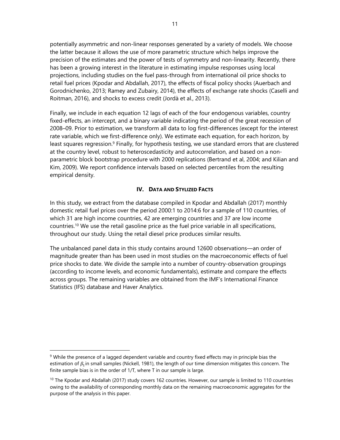potentially asymmetric and non-linear responses generated by a variety of models. We choose the latter because it allows the use of more parametric structure which helps improve the precision of the estimates and the power of tests of symmetry and non-linearity. Recently, there has been a growing interest in the literature in estimating impulse responses using local projections, including studies on the fuel pass-through from international oil price shocks to retail fuel prices (Kpodar and Abdallah, 2017), the effects of fiscal policy shocks (Auerbach and Gorodnichenko, 2013; Ramey and Zubairy, 2014), the effects of exchange rate shocks (Caselli and Roitman, 2016), and shocks to excess credit (Jordà et al., 2013).

Finally, we include in each equation 12 lags of each of the four endogenous variables, country fixed-effects, an intercept, and a binary variable indicating the period of the great recession of 2008–09. Prior to estimation, we transform all data to log first-differences (except for the interest rate variable, which we first-difference only). We estimate each equation, for each horizon, by least squares regression.<sup>9</sup> Finally, for hypothesis testing, we use standard errors that are clustered at the country level, robust to heteroscedasticity and autocorrelation, and based on a nonparametric block bootstrap procedure with 2000 replications (Bertrand et al, 2004; and Kilian and Kim, 2009). We report confidence intervals based on selected percentiles from the resulting empirical density.

## **IV. DATA AND STYLIZED FACTS**

In this study, we extract from the database compiled in Kpodar and Abdallah (2017) monthly domestic retail fuel prices over the period 2000:1 to 2014:6 for a sample of 110 countries, of which 31 are high income countries, 42 are emerging countries and 37 are low income countries.10 We use the retail gasoline price as the fuel price variable in all specifications, throughout our study. Using the retail diesel price produces similar results.

The unbalanced panel data in this study contains around 12600 observations—an order of magnitude greater than has been used in most studies on the macroeconomic effects of fuel price shocks to date. We divide the sample into a number of country-observation groupings (according to income levels, and economic fundamentals), estimate and compare the effects across groups. The remaining variables are obtained from the IMF's International Finance Statistics (IFS) database and Haver Analytics.

<sup>&</sup>lt;sup>9</sup> While the presence of a lagged dependent variable and country fixed effects may in principle bias the estimation of  $\beta_1$  in small samples (Nickell, 1981), the length of our time dimension mitigates this concern. The finite sample bias is in the order of 1/T, where T in our sample is large.

 $10$  The Kpodar and Abdallah (2017) study covers 162 countries. However, our sample is limited to 110 countries owing to the availability of corresponding monthly data on the remaining macroeconomic aggregates for the purpose of the analysis in this paper.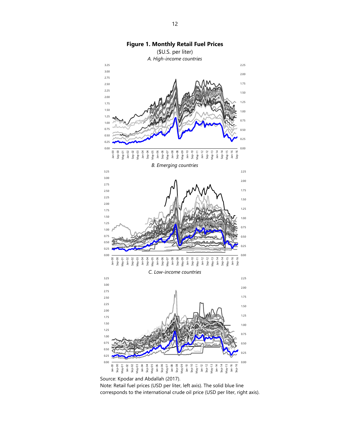

Source: Kpodar and Abdallah (2017).

Note: Retail fuel prices (USD per liter, left axis). The solid blue line corresponds to the international crude oil price (USD per liter, right axis).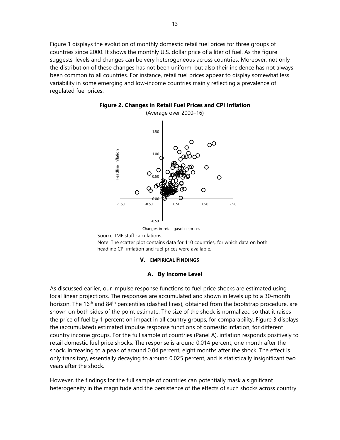Figure 1 displays the evolution of monthly domestic retail fuel prices for three groups of countries since 2000. It shows the monthly U.S. dollar price of a liter of fuel. As the figure suggests, levels and changes can be very heterogeneous across countries. Moreover, not only the distribution of these changes has not been uniform, but also their incidence has not always been common to all countries. For instance, retail fuel prices appear to display somewhat less variability in some emerging and low-income countries mainly reflecting a prevalence of regulated fuel prices.





Changes in retail gasoline prices

Source: IMF staff calculations.

Note: The scatter plot contains data for 110 countries, for which data on both headline CPI inflation and fuel prices were available.

#### **V. EMPIRICAL FINDINGS**

#### **A. By Income Level**

As discussed earlier, our impulse response functions to fuel price shocks are estimated using local linear projections. The responses are accumulated and shown in levels up to a 30-month horizon. The 16<sup>th</sup> and 84<sup>th</sup> percentiles (dashed lines), obtained from the bootstrap procedure, are shown on both sides of the point estimate. The size of the shock is normalized so that it raises the price of fuel by 1 percent on impact in all country groups, for comparability. Figure 3 displays the (accumulated) estimated impulse response functions of domestic inflation, for different country income groups. For the full sample of countries (Panel A), inflation responds positively to retail domestic fuel price shocks. The response is around 0.014 percent, one month after the shock, increasing to a peak of around 0.04 percent, eight months after the shock. The effect is only transitory, essentially decaying to around 0.025 percent, and is statistically insignificant two years after the shock.

However, the findings for the full sample of countries can potentially mask a significant heterogeneity in the magnitude and the persistence of the effects of such shocks across country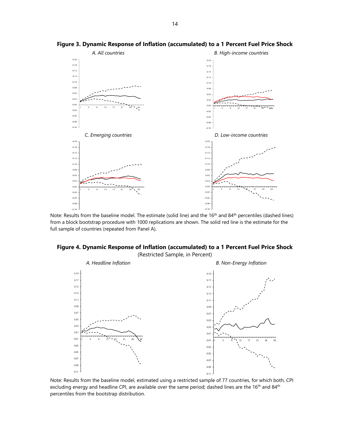

**Figure 3. Dynamic Response of Inflation (accumulated) to a 1 Percent Fuel Price Shock**

Note: Results from the baseline model. The estimate (solid line) and the 16<sup>th</sup> and 84<sup>th</sup> percentiles (dashed lines) from a block bootstrap procedure with 1000 replications are shown. The solid red line is the estimate for the full sample of countries (repeated from Panel A).



(Restricted Sample, in Percent)



Note: Results from the baseline model, estimated using a restricted sample of 77 countries, for which both, CPI excluding energy and headline CPI, are available over the same period; dashed lines are the 16<sup>th</sup> and 84<sup>th</sup> percentiles from the bootstrap distribution.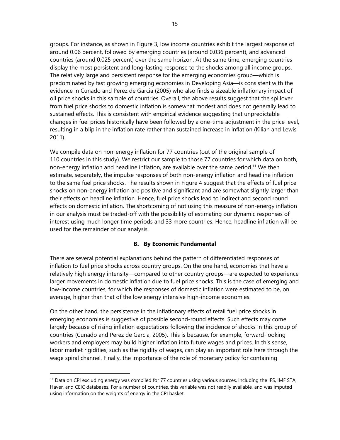groups. For instance, as shown in Figure 3, low income countries exhibit the largest response of around 0.06 percent, followed by emerging countries (around 0.036 percent), and advanced countries (around 0.025 percent) over the same horizon. At the same time, emerging countries display the most persistent and long-lasting response to the shocks among all income groups. The relatively large and persistent response for the emerging economies group—which is predominated by fast growing emerging economies in Developing Asia—is consistent with the evidence in Cunado and Perez de Garcia (2005) who also finds a sizeable inflationary impact of oil price shocks in this sample of countries. Overall, the above results suggest that the spillover from fuel price shocks to domestic inflation is somewhat modest and does not generally lead to sustained effects. This is consistent with empirical evidence suggesting that unpredictable changes in fuel prices historically have been followed by a one-time adjustment in the price level, resulting in a blip in the inflation rate rather than sustained increase in inflation (Kilian and Lewis 2011).

We compile data on non-energy inflation for 77 countries (out of the original sample of 110 countries in this study). We restrict our sample to those 77 countries for which data on both, non-energy inflation and headline inflation, are available over the same period.11 We then estimate, separately, the impulse responses of both non-energy inflation and headline inflation to the same fuel price shocks. The results shown in Figure 4 suggest that the effects of fuel price shocks on non-energy inflation are positive and significant and are somewhat slightly larger than their effects on headline inflation. Hence, fuel price shocks lead to indirect and second round effects on domestic inflation. The shortcoming of not using this measure of non-energy inflation in our analysis must be traded-off with the possibility of estimating our dynamic responses of interest using much longer time periods and 33 more countries. Hence, headline inflation will be used for the remainder of our analysis.

## **B. By Economic Fundamental**

There are several potential explanations behind the pattern of differentiated responses of inflation to fuel price shocks across country groups. On the one hand, economies that have a relatively high energy intensity—compared to other country groups—are expected to experience larger movements in domestic inflation due to fuel price shocks. This is the case of emerging and low-income countries, for which the responses of domestic inflation were estimated to be, on average, higher than that of the low energy intensive high-income economies.

On the other hand, the persistence in the inflationary effects of retail fuel price shocks in emerging economies is suggestive of possible second-round effects. Such effects may come largely because of rising inflation expectations following the incidence of shocks in this group of countries (Cunado and Perez de Garcia, 2005). This is because, for example, forward-looking workers and employers may build higher inflation into future wages and prices. In this sense, labor market rigidities, such as the rigidity of wages, can play an important role here through the wage spiral channel. Finally, the importance of the role of monetary policy for containing

<sup>&</sup>lt;sup>11</sup> Data on CPI excluding energy was compiled for 77 countries using various sources, including the IFS, IMF STA, Haver, and CEIC databases. For a number of countries, this variable was not readily available, and was imputed using information on the weights of energy in the CPI basket.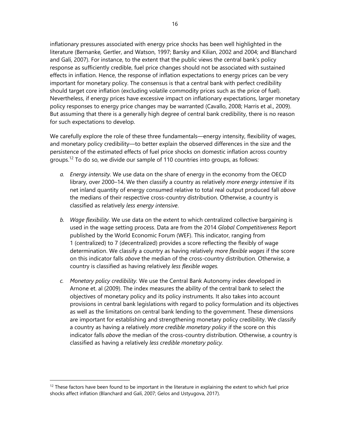inflationary pressures associated with energy price shocks has been well highlighted in the literature (Bernanke*,* Gertler, and Watson, 1997; Barsky and Kilian, 2002 and 2004; and Blanchard and Galí, 2007). For instance, to the extent that the public views the central bank's policy response as sufficiently credible, fuel price changes should not be associated with sustained effects in inflation. Hence, the response of inflation expectations to energy prices can be very important for monetary policy. The consensus is that a central bank with perfect credibility should target core inflation (excluding volatile commodity prices such as the price of fuel). Nevertheless, if energy prices have excessive impact on inflationary expectations, larger monetary policy responses to energy price changes may be warranted (Cavallo, 2008; Harris et al., 2009). But assuming that there is a generally high degree of central bank credibility, there is no reason for such expectations to develop.

We carefully explore the role of these three fundamentals—energy intensity, flexibility of wages, and monetary policy credibility—to better explain the observed differences in the size and the persistence of the estimated effects of fuel price shocks on domestic inflation across country groups.<sup>12</sup> To do so, we divide our sample of 110 countries into groups, as follows:

- *a. Energy intensity.* We use data on the share of energy in the economy from the OECD library, over 2000–14. We then classify a country as relatively *more energy intensive* if its net inland quantity of energy consumed relative to total real output produced fall *above* the medians of their respective cross-country distribution. Otherwise, a country is classified as relatively *less energy intensive*.
- *b. Wage flexibility.* We use data on the extent to which centralized collective bargaining is used in the wage setting process. Data are from the 2014 *Global Competitiveness* Report published by the World Economic Forum (WEF). This indicator, ranging from 1 (centralized) to 7 (decentralized) provides a score reflecting the flexibly of wage determination. We classify a country as having relatively *more flexible wages* if the score on this indicator falls *above* the median of the cross-country distribution. Otherwise, a country is classified as having relatively *less flexible wages.*
- *c. Monetary policy credibility.* We use the Central Bank Autonomy index developed in Arnone et. al (2009). The index measures the ability of the central bank to select the objectives of monetary policy and its policy instruments. It also takes into account provisions in central bank legislations with regard to policy formulation and its objectives as well as the limitations on central bank lending to the government. These dimensions are important for establishing and strengthening monetary policy credibility. We classify a country as having a relatively *more credible monetary policy* if the score on this indicator falls *above* the median of the cross-country distribution. Otherwise, a country is classified as having a relatively *less credible monetary policy.*

 $12$  These factors have been found to be important in the literature in explaining the extent to which fuel price shocks affect inflation (Blanchard and Galí, 2007; Gelos and Ustyugova, 2017).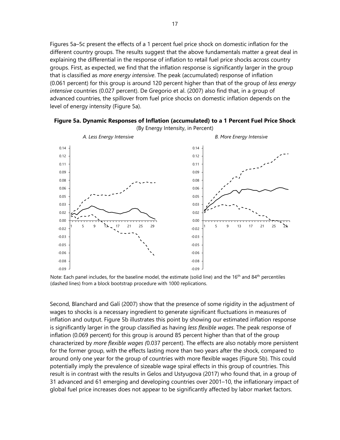Figures 5a–5c present the effects of a 1 percent fuel price shock on domestic inflation for the different country groups. The results suggest that the above fundamentals matter a great deal in explaining the differential in the response of inflation to retail fuel price shocks across country groups. First, as expected, we find that the inflation response is significantly larger in the group that is classified as *more energy intensive*. The peak (accumulated) response of inflation (0.061 percent) for this group is around 120 percent higher than that of the group of *less energy intensive* countries (0.027 percent). De Gregorio et al. (2007) also find that, in a group of advanced countries, the spillover from fuel price shocks on domestic inflation depends on the level of energy intensity (Figure 5a).



**Figure 5a. Dynamic Responses of Inflation (accumulated) to a 1 Percent Fuel Price Shock** 

Note: Each panel includes, for the baseline model, the estimate (solid line) and the 16<sup>th</sup> and 84<sup>th</sup> percentiles (dashed lines) from a block bootstrap procedure with 1000 replications.

Second, Blanchard and Galí (2007) show that the presence of some rigidity in the adjustment of wages to shocks is a necessary ingredient to generate significant fluctuations in measures of inflation and output. Figure 5b illustrates this point by showing our estimated inflation response is significantly larger in the group classified as having *less flexible wages*. The peak response of inflation (0.069 percent) for this group is around 85 percent higher than that of the group characterized by *more flexible wages (*0.037 percent). The effects are also notably more persistent for the former group, with the effects lasting more than two years after the shock, compared to around only one year for the group of countries with more flexible wages (Figure 5b). This could potentially imply the prevalence of sizeable wage spiral effects in this group of countries. This result is in contrast with the results in Gelos and Ustyugova (2017) who found that, in a group of 31 advanced and 61 emerging and developing countries over 2001–10, the inflationary impact of global fuel price increases does not appear to be significantly affected by labor market factors.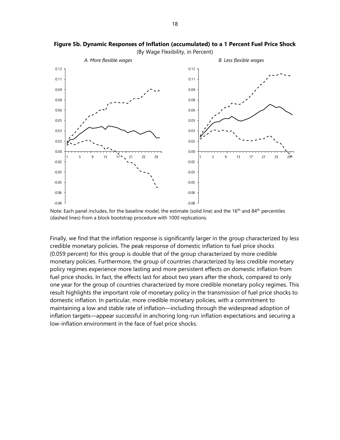

**Figure 5b. Dynamic Responses of Inflation (accumulated) to a 1 Percent Fuel Price Shock** 

(By Wage Flexibility, in Percent)

Finally, we find that the inflation response is significantly larger in the group characterized by less credible monetary policies. The peak response of domestic inflation to fuel price shocks (0.059 percent) for this group is double that of the group characterized by more credible monetary policies. Furthermore, the group of countries characterized by less credible monetary policy regimes experience more lasting and more persistent effects on domestic inflation from fuel price shocks. In fact, the effects last for about two years after the shock, compared to only one year for the group of countries characterized by more credible monetary policy regimes. This result highlights the important role of monetary policy in the transmission of fuel price shocks to domestic inflation. In particular, more credible monetary policies, with a commitment to maintaining a low and stable rate of inflation—including through the widespread adoption of inflation targets—appear successful in anchoring long-run inflation expectations and securing a low-inflation environment in the face of fuel price shocks.

Note: Each panel includes, for the baseline model, the estimate (solid line) and the 16<sup>th</sup> and 84<sup>th</sup> percentiles (dashed lines) from a block bootstrap procedure with 1000 replications.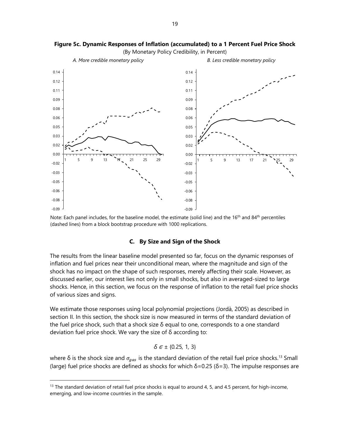

**Figure 5c. Dynamic Responses of Inflation (accumulated) to a 1 Percent Fuel Price Shock**  (By Monetary Policy Credibility, in Percent)

Note: Each panel includes, for the baseline model, the estimate (solid line) and the 16<sup>th</sup> and 84<sup>th</sup> percentiles (dashed lines) from a block bootstrap procedure with 1000 replications.

#### **C. By Size and Sign of the Shock**

The results from the linear baseline model presented so far, focus on the dynamic responses of inflation and fuel prices near their unconditional mean, where the magnitude and sign of the shock has no impact on the shape of such responses, merely affecting their scale. However, as discussed earlier, our interest lies not only in small shocks, but also in averaged-sized to large shocks. Hence, in this section, we focus on the response of inflation to the retail fuel price shocks of various sizes and signs.

We estimate those responses using local polynomial projections (Jordà, 2005) as described in section II. In this section, the shock size is now measured in terms of the standard deviation of the fuel price shock, such that a shock size δ equal to one, corresponds to a one standard deviation fuel price shock. We vary the size of δ according to:

$$
\delta \in \pm \{0.25, 1, 3\}
$$

where  $\delta$  is the shock size and  $\sigma_{gas}$  is the standard deviation of the retail fuel price shocks.<sup>13</sup> Small (large) fuel price shocks are defined as shocks for which  $\delta$ =0.25 ( $\delta$ =3). The impulse responses are

 $13$  The standard deviation of retail fuel price shocks is equal to around 4, 5, and 4.5 percent, for high-income, emerging, and low-income countries in the sample.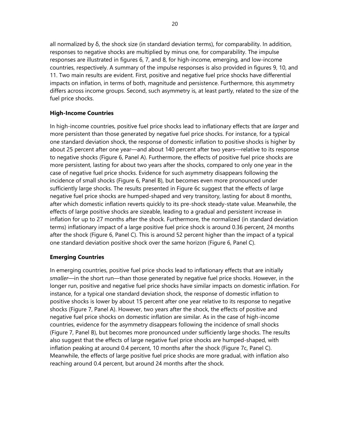all normalized by δ, the shock size (in standard deviation terms), for comparability. In addition, responses to negative shocks are multiplied by minus one, for comparability. The impulse responses are illustrated in figures 6, 7, and 8, for high-income, emerging, and low-income countries, respectively. A summary of the impulse responses is also provided in figures 9, 10, and 11. Two main results are evident. First, positive and negative fuel price shocks have differential impacts on inflation, in terms of both, magnitude and persistence. Furthermore, this asymmetry differs across income groups. Second, such asymmetry is, at least partly, related to the size of the fuel price shocks.

## **High-Income Countries**

In high-income countries, positive fuel price shocks lead to inflationary effects that are *larger* and more persistent than those generated by negative fuel price shocks. For instance, for a typical one standard deviation shock, the response of domestic inflation to positive shocks is higher by about 25 percent after one year—and about 140 percent after two years—relative to its response to negative shocks (Figure 6, Panel A). Furthermore, the effects of positive fuel price shocks are more persistent, lasting for about two years after the shocks, compared to only one year in the case of negative fuel price shocks. Evidence for such asymmetry disappears following the incidence of small shocks (Figure 6, Panel B), but becomes even more pronounced under sufficiently large shocks. The results presented in Figure 6c suggest that the effects of large negative fuel price shocks are humped-shaped and very transitory, lasting for about 8 months, after which domestic inflation reverts quickly to its pre-shock steady-state value. Meanwhile, the effects of large positive shocks are sizeable, leading to a gradual and persistent increase in inflation for up to 27 months after the shock. Furthermore, the normalized (in standard deviation terms) inflationary impact of a large positive fuel price shock is around 0.36 percent, 24 months after the shock (Figure 6, Panel C). This is around 52 percent higher than the impact of a typical one standard deviation positive shock over the same horizon (Figure 6, Panel C).

## **Emerging Countries**

In emerging countries, positive fuel price shocks lead to inflationary effects that are initially *smaller*—in the short run—than those generated by negative fuel price shocks. However, in the longer run, positive and negative fuel price shocks have similar impacts on domestic inflation. For instance, for a typical one standard deviation shock, the response of domestic inflation to positive shocks is lower by about 15 percent after one year relative to its response to negative shocks (Figure 7, Panel A). However, two years after the shock, the effects of positive and negative fuel price shocks on domestic inflation are similar. As in the case of high-income countries, evidence for the asymmetry disappears following the incidence of small shocks (Figure 7, Panel B), but becomes more pronounced under sufficiently large shocks. The results also suggest that the effects of large negative fuel price shocks are humped-shaped, with inflation peaking at around 0.4 percent, 10 months after the shock (Figure 7c, Panel C). Meanwhile, the effects of large positive fuel price shocks are more gradual, with inflation also reaching around 0.4 percent, but around 24 months after the shock.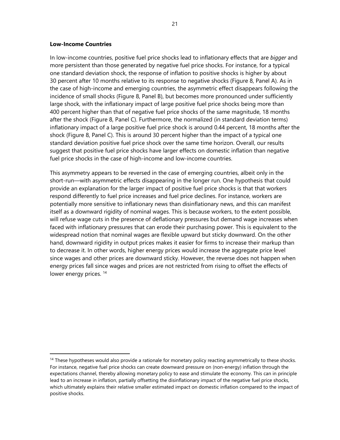#### **Low-Income Countries**

In low-income countries, positive fuel price shocks lead to inflationary effects that are *bigger* and more persistent than those generated by negative fuel price shocks. For instance, for a typical one standard deviation shock, the response of inflation to positive shocks is higher by about 30 percent after 10 months relative to its response to negative shocks (Figure 8, Panel A). As in the case of high-income and emerging countries, the asymmetric effect disappears following the incidence of small shocks (Figure 8, Panel B), but becomes more pronounced under sufficiently large shock, with the inflationary impact of large positive fuel price shocks being more than 400 percent higher than that of negative fuel price shocks of the same magnitude, 18 months after the shock (Figure 8, Panel C). Furthermore, the normalized (in standard deviation terms) inflationary impact of a large positive fuel price shock is around 0.44 percent, 18 months after the shock (Figure 8, Panel C). This is around 30 percent higher than the impact of a typical one standard deviation positive fuel price shock over the same time horizon. Overall, our results suggest that positive fuel price shocks have larger effects on domestic inflation than negative fuel price shocks in the case of high-income and low-income countries.

This asymmetry appears to be reversed in the case of emerging countries, albeit only in the short-run—with asymmetric effects disappearing in the longer run. One hypothesis that could provide an explanation for the larger impact of positive fuel price shocks is that that workers respond differently to fuel price increases and fuel price declines. For instance, workers are potentially more sensitive to inflationary news than disinflationary news, and this can manifest itself as a downward rigidity of nominal wages. This is because workers, to the extent possible, will refuse wage cuts in the presence of deflationary pressures but demand wage increases when faced with inflationary pressures that can erode their purchasing power. This is equivalent to the widespread notion that nominal wages are flexible upward but sticky downward. On the other hand, downward rigidity in output prices makes it easier for firms to increase their markup than to decrease it. In other words, higher energy prices would increase the aggregate price level since wages and other prices are downward sticky. However, the reverse does not happen when energy prices fall since wages and prices are not restricted from rising to offset the effects of lower energy prices.<sup>14</sup>

<sup>&</sup>lt;sup>14</sup> These hypotheses would also provide a rationale for monetary policy reacting asymmetrically to these shocks. For instance, negative fuel price shocks can create downward pressure on (non-energy) inflation through the expectations channel, thereby allowing monetary policy to ease and stimulate the economy. This can in principle lead to an increase in inflation, partially offsetting the disinflationary impact of the negative fuel price shocks, which ultimately explains their relative smaller estimated impact on domestic inflation compared to the impact of positive shocks.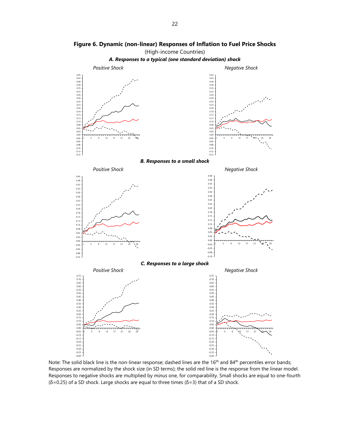

**Figure 6. Dynamic (non-linear) Responses of Inflation to Fuel Price Shocks** 

Note: The solid black line is the non-linear response; dashed lines are the 16<sup>th</sup> and 84<sup>th</sup> percentiles error bands; Responses are normalized by the shock size (in SD terms); the solid red line is the response from the linear model. Responses to negative shocks are multiplied by *minus* one, for comparability. Small shocks are equal to one-fourth (δ=0.25) of a SD shock. Large shocks are equal to three times (δ=3) that of a SD shock.

-0.40

 $-0.40$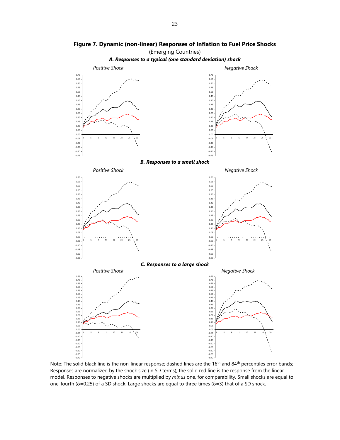

**Figure 7. Dynamic (non-linear) Responses of Inflation to Fuel Price Shocks**  (Emerging Countries)

Note: The solid black line is the non-linear response; dashed lines are the 16<sup>th</sup> and 84<sup>th</sup> percentiles error bands; Responses are normalized by the shock size (in SD terms); the solid red line is the response from the linear model. Responses to negative shocks are multiplied by *minus* one, for comparability. Small shocks are equal to one-fourth (δ=0.25) of a SD shock. Large shocks are equal to three times (δ=3) that of a SD shock.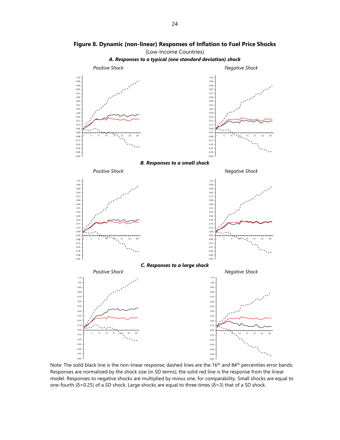

**Figure 8. Dynamic (non-linear) Responses of Inflation to Fuel Price Shocks** 

Note: The solid black line is the non-linear response; dashed lines are the 16<sup>th</sup> and 84<sup>th</sup> percentiles error bands; Responses are normalized by the shock size (in SD terms); the solid red line is the response from the linear model. Responses to negative shocks are multiplied by *minus* one, for comparability. Small shocks are equal to one-fourth (δ=0.25) of a SD shock. Large shocks are equal to three times (δ=3) that of a SD shock.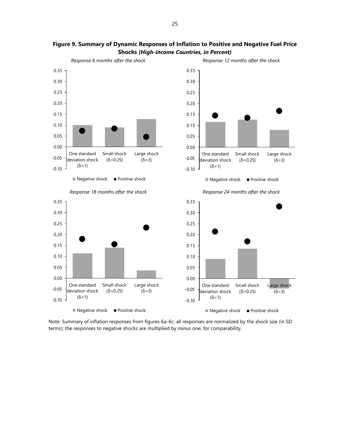

## **Figure 9. Summary of Dynamic Responses of Inflation to Positive and Negative Fuel Price Shocks** *(High-income Countries, in Percent)*

Note: Summary of inflation responses from figures 6a–6c; all responses are normalized by the shock size (in SD terms); the responses to negative shocks are multiplied by *minus* one, for comparability.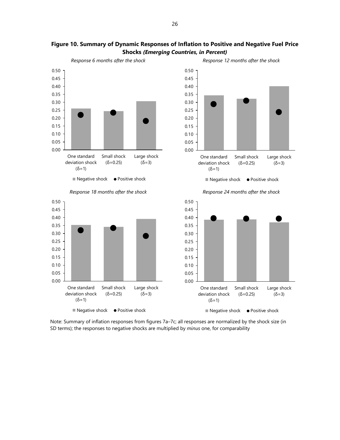

## **Figure 10. Summary of Dynamic Responses of Inflation to Positive and Negative Fuel Price Shocks** *(Emerging Countries, in Percent)*

Note: Summary of inflation responses from figures 7a–7c; all responses are normalized by the shock size (in SD terms); the responses to negative shocks are multiplied by *minus* one, for comparability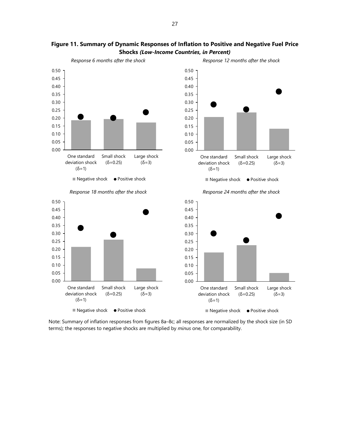

## **Figure 11. Summary of Dynamic Responses of Inflation to Positive and Negative Fuel Price Shocks** *(Low-Income Countries, in Percent)*

Note: Summary of inflation responses from figures 8a–8c; all responses are normalized by the shock size (in SD terms); the responses to negative shocks are multiplied by *minus* one, for comparability.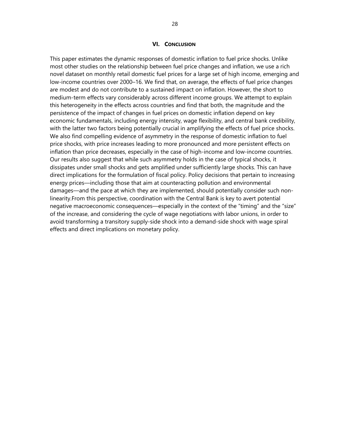#### **VI. CONCLUSION**

This paper estimates the dynamic responses of domestic inflation to fuel price shocks. Unlike most other studies on the relationship between fuel price changes and inflation, we use a rich novel dataset on monthly retail domestic fuel prices for a large set of high income, emerging and low-income countries over 2000–16. We find that, on average, the effects of fuel price changes are modest and do not contribute to a sustained impact on inflation. However, the short to medium-term effects vary considerably across different income groups. We attempt to explain this heterogeneity in the effects across countries and find that both, the magnitude and the persistence of the impact of changes in fuel prices on domestic inflation depend on key economic fundamentals, including energy intensity, wage flexibility, and central bank credibility, with the latter two factors being potentially crucial in amplifying the effects of fuel price shocks. We also find compelling evidence of asymmetry in the response of domestic inflation to fuel price shocks, with price increases leading to more pronounced and more persistent effects on inflation than price decreases, especially in the case of high-income and low-income countries. Our results also suggest that while such asymmetry holds in the case of typical shocks, it dissipates under small shocks and gets amplified under sufficiently large shocks. This can have direct implications for the formulation of fiscal policy. Policy decisions that pertain to increasing energy prices—including those that aim at counteracting pollution and environmental damages—and the pace at which they are implemented, should potentially consider such nonlinearity.From this perspective, coordination with the Central Bank is key to avert potential negative macroeconomic consequences—especially in the context of the "timing" and the "size" of the increase, and considering the cycle of wage negotiations with labor unions, in order to avoid transforming a transitory supply-side shock into a demand-side shock with wage spiral effects and direct implications on monetary policy.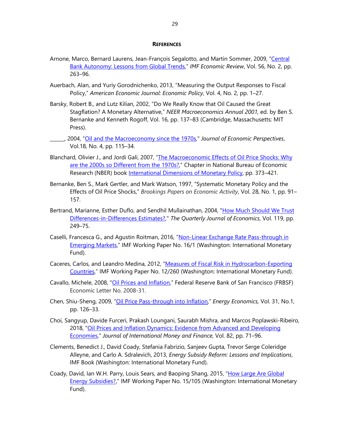#### **REFERENCES**

- Arnone, Marco, Bernard Laurens, Jean-François Segalotto, and Martin Sommer, 2009, "Central Bank Autonomy: Lessons from Global Trends," *IMF Economic Review*, Vol. 56, No. 2, pp. 263–96.
- Auerbach, Alan, and Yuriy Gorodnichenko, 2013, "Measuring the Output Responses to Fiscal Policy," *American Economic Journal: Economic Policy*, Vol. 4, No. 2, pp. 1–27.
- Barsky, Robert B., and Lutz Kilian, 2002, "Do We Really Know that Oil Caused the Great Stagflation? A Monetary Alternative," *NEER Macroeconomics Annual 2001,* ed. by Ben S. Bernanke and Kenneth Rogoff, Vol. 16, pp. 137–83 (Cambridge, Massachusetts: MIT Press).
- \_\_\_\_\_\_, 2004, "Oil and the Macroeconomy since the 1970s," *Journal of Economic Perspectives*, Vol.18, No. 4, pp. 115–34.
- Blanchard, Olivier J., and Jordi Galí, 2007, "The Macroeconomic Effects of Oil Price Shocks: Why are the 2000s so Different from the 1970s?," Chapter in National Bureau of Economic Research (NBER) book International Dimensions of Monetary Policy, pp. 373-421.
- Bernanke, Ben S., Mark Gertler, and Mark Watson, 1997, "Systematic Monetary Policy and the Effects of Oil Price Shocks," *Brookings Papers on Economic Activity*, Vol. 28, No. 1, pp. 91– 157.
- Bertrand, Marianne, Esther Duflo, and Sendhil Mullainathan, 2004, "How Much Should We Trust Differences-in-Differences Estimates?," *The Quarterly Journal of Economics*, Vol. 119, pp. 249–75.
- Caselli, Francesca G., and Agustin Roitman, 2016, "Non-Linear Exchange Rate Pass-through in Emerging Markets," IMF Working Paper No. 16/1 (Washington: International Monetary Fund).
- Caceres, Carlos, and Leandro Medina, 2012, "Measures of Fiscal Risk in Hydrocarbon-Exporting Countries," IMF Working Paper No. 12/260 (Washington: International Monetary Fund).
- Cavallo, Michele, 2008, "Oil Prices and Inflation," Federal Reserve Bank of San Francisco (FRBSF) Economic Letter No. 2008-31.
- Chen, Shiu-Sheng, 2009, "Oil Price Pass-through into Inflation," *Energy Economics,* Vol. 31, No.1, pp. 126–33.
- Choi, Sangyup, Davide Furceri, Prakash Loungani, Saurabh Mishra, and Marcos Poplawski-Ribeiro, 2018, "Oil Prices and Inflation Dynamics: Evidence from Advanced and Developing Economies," *Journal of International Money and Finance*, Vol. 82, pp. 71–96.
- Clements, Benedict J., David Coady, Stefania Fabrizio, Sanjeev Gupta, Trevor Serge Coleridge Alleyne, and Carlo A. Sdralevich, 2013, *Energy Subsidy Reform: Lessons and Implications*, IMF Book (Washington: International Monetary Fund).
- Coady, David, Ian W.H. Parry, Louis Sears, and Baoping Shang, 2015, "How Large Are Global Energy Subsidies?," IMF Working Paper No. 15/105 (Washington: International Monetary Fund).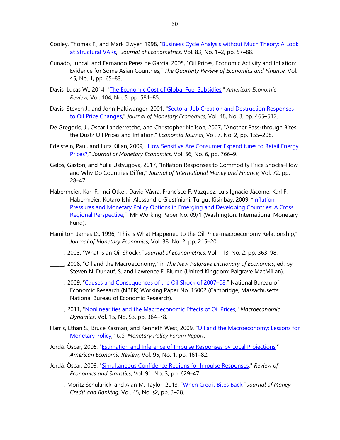- Cooley, Thomas F., and Mark Dwyer, 1998, "Business Cycle Analysis without Much Theory: A Look at Structural VARs," *Journal of Econometrics*, Vol. 83, No. 1–2, pp. 57–88.
- Cunado, Juncal, and Fernando Perez de Garcia, 2005, "Oil Prices, Economic Activity and Inflation: Evidence for Some Asian Countries," *The Quarterly Review of Economics and Finance*, Vol. 45, No. 1, pp. 65–83.
- Davis, Lucas W., 2014, "The Economic Cost of Global Fuel Subsidies," *American Economic Review,* Vol. 104, No. 5, pp. 581–85.
- Davis, Steven J., and John Haltiwanger, 2001, "Sectoral Job Creation and Destruction Responses to Oil Price Changes," *Journal of Monetary Economics*, Vol. 48, No. 3, pp. 465–512.
- De Gregorio, J., Oscar Landerretche, and Christopher Neilson, 2007, "Another Pass-through Bites the Dust? Oil Prices and Inflation," *Economía Journal*, Vol. 7, No. 2, pp. 155–208.
- Edelstein, Paul, and Lutz Kilian, 2009, "How Sensitive Are Consumer Expenditures to Retail Energy Prices?," *Journal of Monetary Economics*, Vol. 56, No. 6, pp. 766–9.
- Gelos, Gaston, and Yulia Ustyugova, 2017, "Inflation Responses to Commodity Price Shocks–How and Why Do Countries Differ," *Journal of International Money and Finance,* Vol. 72*,* pp. 28–47.
- Habermeier, Karl F., Inci Ötker, David Vávra, Francisco F. Vazquez, Luis Ignacio Jácome, Karl F. Habermeier, Kotaro Ishi, Alessandro Giustiniani, Turgut Kisinbay, 2009, "Inflation Pressures and Monetary Policy Options in Emerging and Developing Countries: A Cross Regional Perspective," IMF Working Paper No. 09/1 (Washington: International Monetary Fund).
- Hamilton, James D., 1996, "This is What Happened to the Oil Price-macroeconomy Relationship," *Journal of Monetary Economics,* Vol. 38, No. 2, pp. 215–20.
- \_\_\_\_\_\_, 2003, "What is an Oil Shock?," *Journal of Econometrics*, Vol. 113, No. 2, pp. 363–98.
- \_\_\_\_\_\_, 2008, "Oil and the Macroeconomy," in *The New Palgrave Dictionary of Economics*, ed. by Steven N. Durlauf, S. and Lawrence E. Blume (United Kingdom: Palgrave MacMillan).
- \_\_\_\_\_\_, 2009, "Causes and Consequences of the Oil Shock of 2007–08," National Bureau of Economic Research (NBER) Working Paper No. 15002 (Cambridge, Massachusetts: National Bureau of Economic Research).
	- \_\_\_\_\_\_, 2011, "Nonlinearities and the Macroeconomic Effects of Oil Prices," *Macroeconomic Dynamics*, Vol. 15, No. S3, pp. 364–78.
- Harris, Ethan S., Bruce Kasman, and Kenneth West, 2009, "Oil and the Macroeconomy: Lessons for Monetary Policy," *U.S. Monetary Policy Forum Report*.
- Jordà, Òscar, 2005, "Estimation and Inference of Impulse Responses by Local Projections," *American Economic Review,* Vol. 95, No. 1, pp. 161–82.
- Jordà, Òscar, 2009, "Simultaneous Confidence Regions for Impulse Responses," *Review of Economics and Statistics*, Vol. 91, No. 3, pp. 629–47.
- \_\_\_\_\_\_, Moritz Schularick, and Alan M. Taylor, 2013, "When Credit Bites Back," *Journal of Money, Credit and Banking*, Vol. 45, No. s2, pp. 3–28.